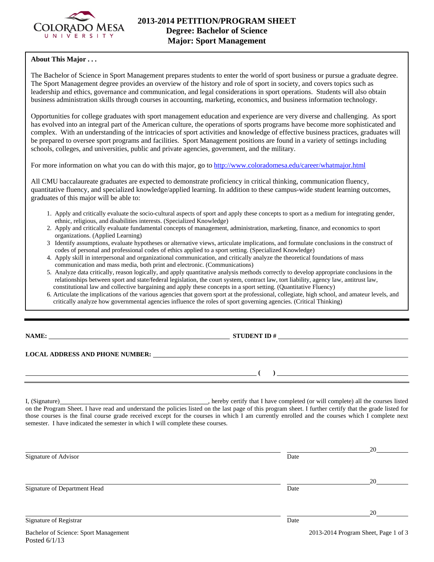

## **About This Major . . .**

The Bachelor of Science in Sport Management prepares students to enter the world of sport business or pursue a graduate degree. The Sport Management degree provides an overview of the history and role of sport in society, and covers topics such as leadership and ethics, governance and communication, and legal considerations in sport operations. Students will also obtain business administration skills through courses in accounting, marketing, economics, and business information technology.

Opportunities for college graduates with sport management education and experience are very diverse and challenging. As sport has evolved into an integral part of the American culture, the operations of sports programs have become more sophisticated and complex. With an understanding of the intricacies of sport activities and knowledge of effective business practices, graduates will be prepared to oversee sport programs and facilities. Sport Management positions are found in a variety of settings including schools, colleges, and universities, public and private agencies, government, and the military.

For more information on what you can do with this major, go to http://www.coloradomesa.edu/career/whatmajor.html

All CMU baccalaureate graduates are expected to demonstrate proficiency in critical thinking, communication fluency, quantitative fluency, and specialized knowledge/applied learning. In addition to these campus-wide student learning outcomes, graduates of this major will be able to:

- 1. Apply and critically evaluate the socio-cultural aspects of sport and apply these concepts to sport as a medium for integrating gender, ethnic, religious, and disabilities interests. (Specialized Knowledge)
- 2. Apply and critically evaluate fundamental concepts of management, administration, marketing, finance, and economics to sport organizations. (Applied Learning)
- 3 Identify assumptions, evaluate hypotheses or alternative views, articulate implications, and formulate conclusions in the construct of codes of personal and professional codes of ethics applied to a sport setting. (Specialized Knowledge)
- 4. Apply skill in interpersonal and organizational communication, and critically analyze the theoretical foundations of mass communication and mass media, both print and electronic. (Communications)
- 5. Analyze data critically, reason logically, and apply quantitative analysis methods correctly to develop appropriate conclusions in the relationships between sport and state/federal legislation, the court system, contract law, tort liability, agency law, antitrust law, constitutional law and collective bargaining and apply these concepts in a sport setting. (Quantitative Fluency)
- 6. Articulate the implications of the various agencies that govern sport at the professional, collegiate, high school, and amateur levels, and critically analyze how governmental agencies influence the roles of sport governing agencies. (Critical Thinking)

**STUDENT ID #** 

 $($ 

**LOCAL ADDRESS AND PHONE NUMBER:**

Posted 6/1/13

I, (Signature) **Source 2008** (Signature) **, hereby certify that I have completed** (or will complete) all the courses listed on the Program Sheet. I have read and understand the policies listed on the last page of this program sheet. I further certify that the grade listed for those courses is the final course grade received except for the courses in which I am currently enrolled and the courses which I complete next semester. I have indicated the semester in which I will complete these courses.

|                                       |      | 20                                   |
|---------------------------------------|------|--------------------------------------|
| Signature of Advisor                  | Date |                                      |
|                                       |      | 20                                   |
| Signature of Department Head          | Date |                                      |
|                                       |      | 20                                   |
| Signature of Registrar                | Date |                                      |
| Bachelor of Science: Sport Management |      | 2013-2014 Program Sheet, Page 1 of 3 |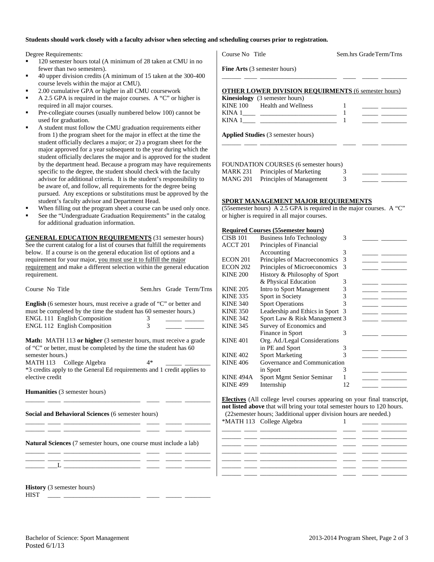#### **Students should work closely with a faculty advisor when selecting and scheduling courses prior to registration.**

Degree Requirements:

- <sup>120</sup> semester hours total (A minimum of 28 taken at CMU in no fewer than two semesters).
- 40 upper division credits (A minimum of 15 taken at the 300-400 course levels within the major at CMU).
- 2.00 cumulative GPA or higher in all CMU coursework
- A 2.5 GPA is required in the major courses. A "C" or higher is required in all major courses.
- Pre-collegiate courses (usually numbered below 100) cannot be used for graduation.
- A student must follow the CMU graduation requirements either from 1) the program sheet for the major in effect at the time the student officially declares a major; or 2) a program sheet for the major approved for a year subsequent to the year during which the student officially declares the major and is approved for the student by the department head. Because a program may have requirements specific to the degree, the student should check with the faculty advisor for additional criteria. It is the student's responsibility to be aware of, and follow, all requirements for the degree being pursued. Any exceptions or substitutions must be approved by the student's faculty advisor and Department Head.
- When filling out the program sheet a course can be used only once.
- See the "Undergraduate Graduation Requirements" in the catalog for additional graduation information.

**GENERAL EDUCATION REQUIREMENTS** (31 semester hours) See the current catalog for a list of courses that fulfill the requirements below. If a course is on the general education list of options and a requirement for your major, you must use it to fulfill the major requirement and make a different selection within the general education requirement.

|                                                                           |                                                                             |                  | & 1 11 y sivar Laavanon                                                  |    |                                   |
|---------------------------------------------------------------------------|-----------------------------------------------------------------------------|------------------|--------------------------------------------------------------------------|----|-----------------------------------|
| Course No Title                                                           | Sem.hrs Grade Term/Trns                                                     | <b>KINE 205</b>  | Intro to Sport Management                                                | 3  |                                   |
|                                                                           |                                                                             | <b>KINE 335</b>  | Sport in Society                                                         | 3  |                                   |
|                                                                           | <b>English</b> (6 semester hours, must receive a grade of "C" or better and | <b>KINE 340</b>  | <b>Sport Operations</b>                                                  |    | <u> Albanya (Albanya Albanya)</u> |
| must be completed by the time the student has 60 semester hours.)         |                                                                             | <b>KINE 350</b>  | Leadership and Ethics in Sport 3                                         |    |                                   |
| <b>ENGL 111 English Composition</b>                                       | 3.                                                                          | <b>KINE 342</b>  | Sport Law & Risk Management 3                                            |    |                                   |
| ENGL 112 English Composition                                              |                                                                             | <b>KINE 345</b>  | Survey of Economics and                                                  |    |                                   |
|                                                                           |                                                                             |                  | Finance in Sport                                                         | 3  |                                   |
|                                                                           | <b>Math:</b> MATH 113 or higher (3 semester hours, must receive a grade     | <b>KINE 401</b>  | Org. Ad./Legal Considerations                                            |    |                                   |
| of "C" or better, must be completed by the time the student has 60        |                                                                             |                  | in PE and Sport                                                          | 3  |                                   |
| semester hours.)                                                          |                                                                             | <b>KINE 402</b>  | <b>Sport Marketing</b>                                                   | 3  |                                   |
| MATH 113 College Algebra                                                  | 4*                                                                          | <b>KINE 406</b>  | Governance and Communication                                             |    |                                   |
|                                                                           | *3 credits apply to the General Ed requirements and 1 credit applies to     |                  | in Sport                                                                 | 3  |                                   |
| elective credit                                                           |                                                                             | <b>KINE 494A</b> | Sport Mgmt Senior Seminar                                                |    |                                   |
|                                                                           |                                                                             | <b>KINE 499</b>  | Internship                                                               | 12 |                                   |
| <b>Humanities</b> (3 semester hours)                                      |                                                                             |                  |                                                                          |    |                                   |
|                                                                           |                                                                             |                  | Electives (All college level courses appearing on your final transcript, |    |                                   |
|                                                                           |                                                                             |                  | not listed above that will bring your total semester hours to 120 hours. |    |                                   |
| Social and Behavioral Sciences (6 semester hours)                         |                                                                             |                  | (22 semester hours; 3 additional upper division hours are needed.)       |    |                                   |
|                                                                           |                                                                             |                  | *MATH 113 College Algebra                                                |    |                                   |
|                                                                           |                                                                             |                  |                                                                          |    |                                   |
|                                                                           |                                                                             |                  |                                                                          |    |                                   |
| <b>Natural Sciences</b> (7 semester hours, one course must include a lab) |                                                                             |                  |                                                                          |    |                                   |
|                                                                           |                                                                             |                  |                                                                          |    |                                   |
|                                                                           |                                                                             |                  |                                                                          |    |                                   |
|                                                                           |                                                                             |                  |                                                                          |    |                                   |
|                                                                           |                                                                             |                  |                                                                          |    |                                   |
|                                                                           |                                                                             |                  |                                                                          |    |                                   |
|                                                                           |                                                                             |                  |                                                                          |    |                                   |

**History** (3 semester hours)

| Course No. Title                                           | Sem.hrs GradeTerm/Trns |
|------------------------------------------------------------|------------------------|
| Fine Arts (3 semester hours)                               |                        |
| <b>OTHER LOWER DIVISION REQUIRMENTS (6 semester hours)</b> |                        |
| <b>Kinesiology</b> (3 semester hours)                      |                        |
| KINE 100 Health and Wellness                               |                        |
|                                                            |                        |
|                                                            |                        |
| <b>Applied Studies</b> (3 semester hours)                  |                        |
|                                                            |                        |

| FOUNDATION COURSES (6 semester hours) |                                         |  |  |  |  |
|---------------------------------------|-----------------------------------------|--|--|--|--|
|                                       | <b>MARK 231</b> Principles of Marketing |  |  |  |  |
|                                       | MANG 201 Principles of Management       |  |  |  |  |

### **SPORT MANAGEMENT MAJOR REQUIREMENTS**

(55semester hours) A 2.5 GPA is required in the major courses. A "C" or higher is required in all major courses.

#### **Required Courses (55semester hours)**

| <b>CISB 101</b> | <b>Business Info Technology</b> | 3  |  |
|-----------------|---------------------------------|----|--|
| <b>ACCT 201</b> | Principles of Financial         |    |  |
|                 | Accounting                      | 3  |  |
| ECON 201        | Principles of Macroeconomics    | 3  |  |
| <b>ECON 202</b> | Principles of Microeconomics    | 3  |  |
| <b>KINE 200</b> | History & Philosophy of Sport   |    |  |
|                 | & Physical Education            | 3  |  |
| <b>KINE 205</b> | Intro to Sport Management       | 3  |  |
| <b>KINE 335</b> | Sport in Society                | 3  |  |
| <b>KINE 340</b> | <b>Sport Operations</b>         | 3  |  |
| <b>KINE 350</b> | Leadership and Ethics in Sport  | 3  |  |
| <b>KINE 342</b> | Sport Law & Risk Management 3   |    |  |
| <b>KINE 345</b> | Survey of Economics and         |    |  |
|                 | Finance in Sport                | 3  |  |
| <b>KINE 401</b> | Org. Ad./Legal Considerations   |    |  |
|                 | in PE and Sport                 | 3  |  |
| <b>KINE 402</b> | <b>Sport Marketing</b>          |    |  |
| <b>KINE 406</b> | Governance and Communication    |    |  |
|                 | in Sport                        | 3  |  |
| KINE 494A       | Sport Mgmt Senior Seminar       |    |  |
| <b>KINE 499</b> | Internship                      | 12 |  |
|                 |                                 |    |  |